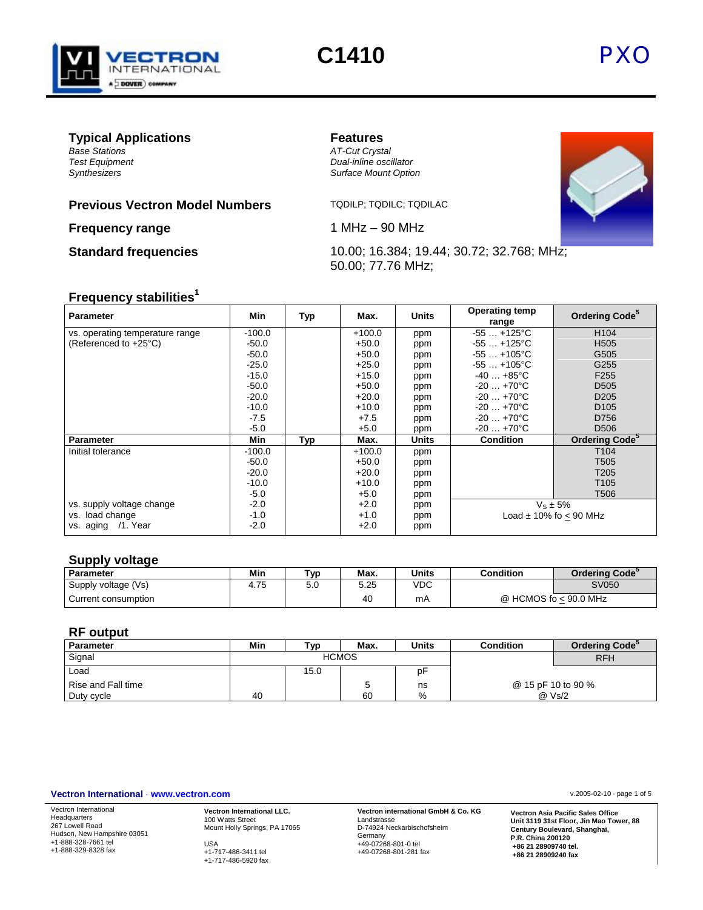

# **C1410** PXO

# **Typical Applications**<br> *Base Stations*<br> *AT-Cut Cryst*

*Base Stations AT-Cut Crystal*

### **Previous Vectron Model Numbers** TQDILP; TQDILC; TQDILAC

**Frequency range** 1 MHz – 90 MHz

*Test Equipment Dual-inline oscillator Synthesizers Surface Mount Option* 



**Standard frequencies** 10.00; 16.384; 19.44; 30.72; 32.768; MHz; 50.00; 77.76 MHz;

# **Frequency stabilities<sup>1</sup>**

| <b>Parameter</b>                | Min      | Typ | Max.     | <b>Units</b> | <b>Operating temp</b><br>range | Ordering Code <sup>5</sup> |
|---------------------------------|----------|-----|----------|--------------|--------------------------------|----------------------------|
| vs. operating temperature range | $-100.0$ |     | $+100.0$ | ppm          | $-55+125^{\circ}C$             | H <sub>104</sub>           |
| (Referenced to +25°C)           | $-50.0$  |     | $+50.0$  | ppm          | $-55+125^{\circ}C$             | H <sub>505</sub>           |
|                                 | $-50.0$  |     | $+50.0$  | ppm          | $-55+105^{\circ}C$             | G505                       |
|                                 | $-25.0$  |     | $+25.0$  | ppm          | $-55+105^{\circ}C$             | G255                       |
|                                 | $-15.0$  |     | $+15.0$  | ppm          | $-40+85$ °C                    | F <sub>255</sub>           |
|                                 | $-50.0$  |     | $+50.0$  | ppm          | $-20+70^{\circ}C$              | D <sub>505</sub>           |
|                                 | $-20.0$  |     | $+20.0$  | ppm          | $-20+70^{\circ}C$              | D <sub>205</sub>           |
|                                 | $-10.0$  |     | $+10.0$  | ppm          | $-20+70°C$                     | D <sub>105</sub>           |
|                                 | $-7.5$   |     | $+7.5$   | ppm          | $-20+70^{\circ}C$              | D756                       |
|                                 | $-5.0$   |     | $+5.0$   | ppm          | $-20+70°C$                     | D <sub>506</sub>           |
| <b>Parameter</b>                | Min      | Typ | Max.     | Units        | <b>Condition</b>               | Ordering Code <sup>5</sup> |
| Initial tolerance               | $-100.0$ |     | $+100.0$ | ppm          |                                | T <sub>104</sub>           |
|                                 | -50.0    |     | $+50.0$  | ppm          |                                | T <sub>505</sub>           |
|                                 | $-20.0$  |     | $+20.0$  | ppm          |                                | T <sub>205</sub>           |
|                                 | $-10.0$  |     | $+10.0$  | ppm          |                                | T <sub>105</sub>           |
|                                 | $-5.0$   |     | $+5.0$   | ppm          |                                | T <sub>506</sub>           |
| vs. supply voltage change       | $-2.0$   |     | $+2.0$   | ppm          | $V_s \pm 5%$                   |                            |
| load change<br>VS.              | $-1.0$   |     | $+1.0$   | ppm          |                                | Load $\pm$ 10% fo < 90 MHz |
| aging /1. Year<br>VS.           | $-2.0$   |     | $+2.0$   | ppm          |                                |                            |

# **Supply voltage**

| Parameter           | Min  | ™vp | Max. | <b>Units</b> | Condition             | <b>Ordering Code<sup>3</sup></b> |
|---------------------|------|-----|------|--------------|-----------------------|----------------------------------|
| Supply voltage (Vs) | 4.75 | ว.บ | 5.25 | VDC          |                       | SV050                            |
| Current consumption |      |     | 40   | mA           | @ HCMOS fo < 90.0 MHz |                                  |

# **RF output**

| Parameter          | Min | ™vp          | Max. | Units | <b>Condition</b>   | <b>Ordering Code<sup>3</sup></b> |
|--------------------|-----|--------------|------|-------|--------------------|----------------------------------|
| Signal             |     | <b>HCMOS</b> |      |       |                    | <b>RFH</b>                       |
| Load               |     | 15.0         |      | рŀ    |                    |                                  |
| Rise and Fall time |     |              |      | ns    | @ 15 pF 10 to 90 % |                                  |
| Duty cycle         | 40  |              | 60   | %     | @ Vs/2             |                                  |

#### **Vectron International** · **www.vectron.com** v.2005-02-10 · page 1 of 5

Vectron International Headquarters 267 Lowell Road Hudson, New Hampshire 03051 +1-888-328-7661 tel +1-888-329-8328 fax **Vectron International LLC.** 100 Watts Street Mount Holly Springs, PA 17065 USA +1-717-486-3411 tel

+1-717-486-5920 fax

**Vectron international GmbH & Co. KG** Landstrasse D-74924 Neckarbischofsheim Germany +49-07268-801-0 tel +49-07268-801-281 fax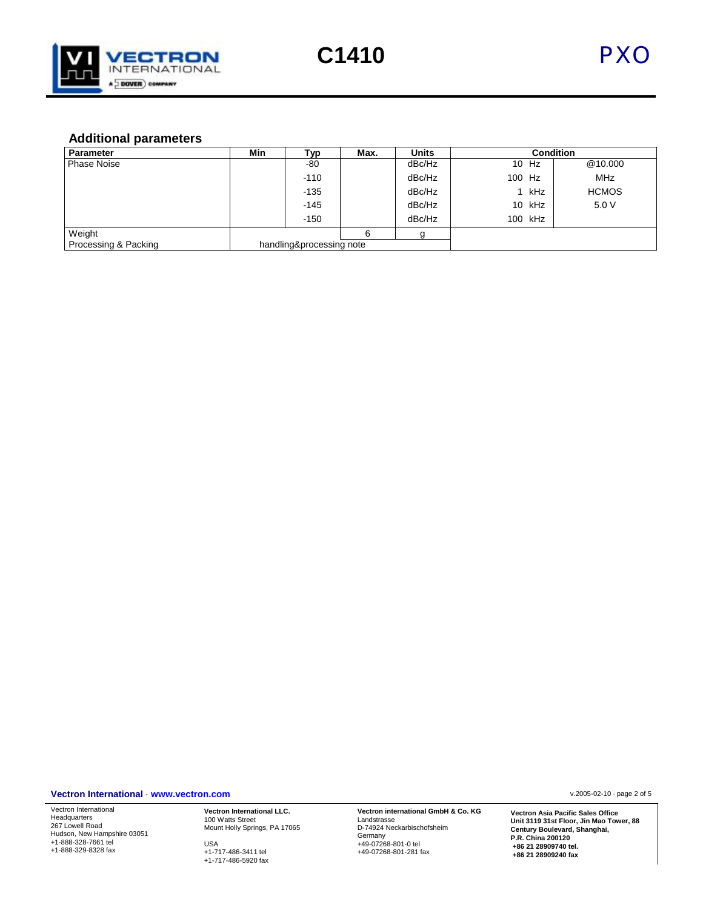

# **Additional parameters**

| <b>Parameter</b>     | Min | Тур                      | Max. | <b>Units</b> |        |          | <b>Condition</b> |
|----------------------|-----|--------------------------|------|--------------|--------|----------|------------------|
| <b>Phase Noise</b>   |     | -80                      |      | dBc/Hz       |        | 10 Hz    | @10.000          |
|                      |     | $-110$                   |      | dBc/Hz       | 100 Hz |          | <b>MHz</b>       |
|                      |     | $-135$                   |      | dBc/Hz       |        | kHz      | <b>HCMOS</b>     |
|                      |     | $-145$                   |      | dBc/Hz       |        | $10$ kHz | 5.0 V            |
|                      |     | $-150$                   |      | dBc/Hz       |        | 100 kHz  |                  |
| Weight               |     |                          | 6    |              |        |          |                  |
| Processing & Packing |     | handling&processing note |      |              |        |          |                  |

#### **Vectron International** · **www.vectron.com** v.2005-02-10 · page 2 of 5

Vectron International Headquarters 267 Lowell Road Hudson, New Hampshire 03051 +1-888-328-7661 tel +1-888-329-8328 fax

**Vectron International LLC.** 100 Watts Street Mount Holly Springs, PA 17065 USA +1-717-486-3411 tel +1-717-486-5920 fax

**Vectron international GmbH & Co. KG** Landstrasse D-74924 Neckarbischofsheim Germany +49-07268-801-0 tel +49-07268-801-281 fax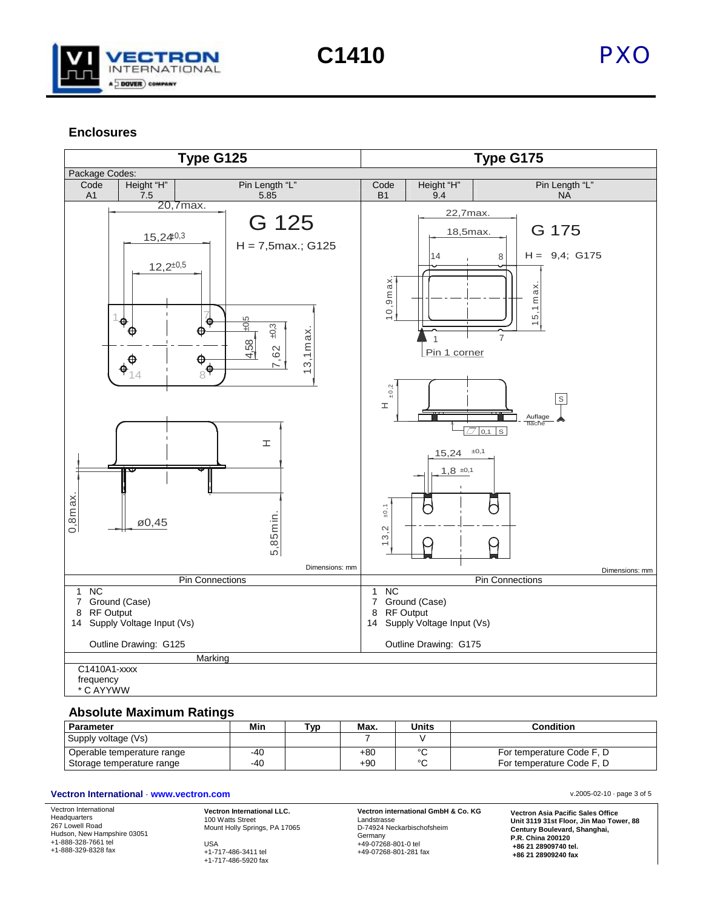

**C1410** PXO

## **Enclosures**



#### **Absolute Maximum Ratings**

| <b>Parameter</b>                                        | Min          | Tvp | Max.           | <b>Units</b>     | <b>Condition</b>                                       |
|---------------------------------------------------------|--------------|-----|----------------|------------------|--------------------------------------------------------|
| Supply voltage (Vs)                                     |              |     |                |                  |                                                        |
| Operable temperature range<br>Storage temperature range | $-40$<br>-40 |     | $+80$<br>$+90$ | $\sim$<br>$\sim$ | For temperature Code F, D<br>For temperature Code F, D |

#### **Vectron International** · **www.vectron.com** v.2005-02-10 · page 3 of 5

Vectron International Headquarters 267 Lowell Road Hudson, New Hampshire 03051 +1-888-328-7661 tel +1-888-329-8328 fax **Vectron International LLC.** 100 Watts Street Mount Holly Springs, PA 17065 USA +1-717-486-3411 tel +1-717-486-5920 fax

**Vectron international GmbH & Co. KG** Landstrasse D-74924 Neckarbischofsheim Germany +49-07268-801-0 tel +49-07268-801-281 fax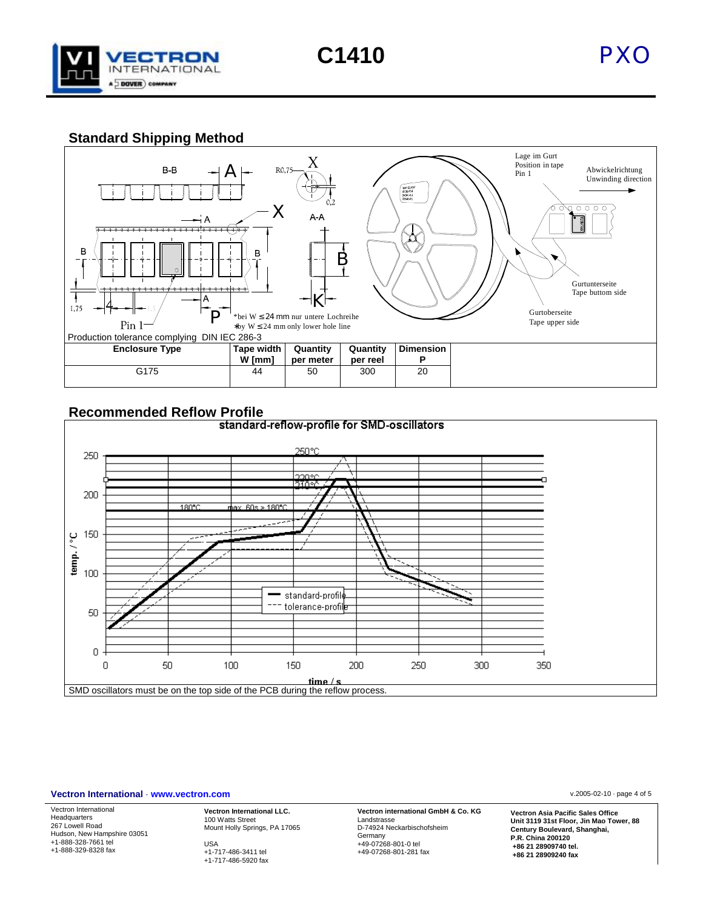

**C1410** PXO

# **Standard Shipping Method**





#### **Vectron International** · **www.vectron.com** v.2005-02-10 · page 4 of 5

Vectron International Headquarters 267 Lowell Road Hudson, New Hampshire 03051 +1-888-328-7661 tel +1-888-329-8328 fax

**Vectron International LLC.** 100 Watts Street Mount Holly Springs, PA 17065 USA +1-717-486-3411 tel

+1-717-486-5920 fax

**Vectron international GmbH & Co. KG** Landstrasse D-74924 Neckarbischofsheim Germany +49-07268-801-0 tel +49-07268-801-281 fax